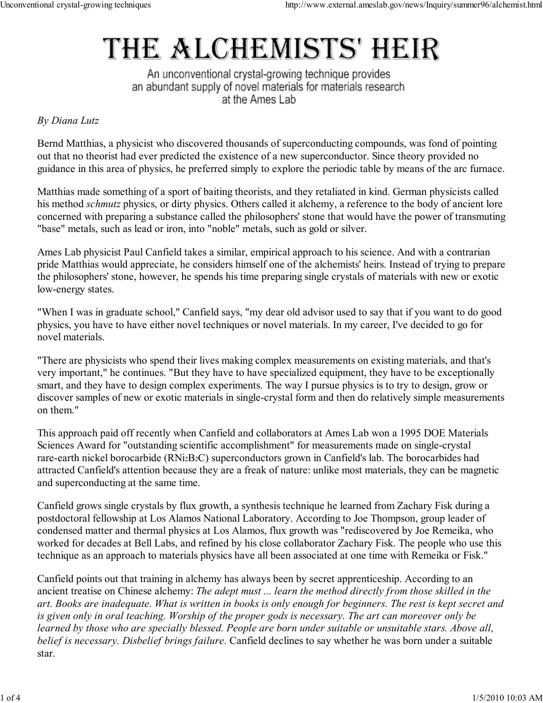## THE ALCHEMISTS' HEIR

An unconventional crystal-growing technique provides an abundant supply of novel materials for materials research at the Ames Lab

## By Diana Lutz

Bernd Matthias, a physicist who discovered thousands of superconducting compounds, was fond of pointing out that no theorist had ever predicted the existence of a new superconductor. Since theory provided no guidance in this area of physics, he preferred simply to explore the periodic table by means of the arc furnace.

Matthias made something of a sport of baiting theorists, and they retaliated in kind. German physicists called his method *schmutz* physics, or dirty physics. Others called it alchemy, a reference to the body of ancient lore concerned with preparing a substance called the philosophers' stone that would have the power of transmuting "base" metals, such as lead or iron, into "noble" metals, such as gold or silver.

Ames Lab physicist Paul Canfield takes a similar, empirical approach to his science. And with a contrarian pride Matthias would appreciate, he considers himself one of the alchemists' heirs. Instead of trying to prepare the philosophers' stone, however, he spends his time preparing single crystals of materials with new or exotic low-energy states.

"When I was in graduate school," Canfield says, "my dear old advisor used to say that if you want to do good physics, you have to have either novel techniques or novel materials. In my career, I've decided to go for novel materials.

"There are physicists who spend their lives making complex measurements on existing materials, and that's very important," he continues. "But they have to have specialized equipment, they have to be exceptionally smart, and they have to design complex experiments. The way I pursue physics is to try to design, grow or discover samples of new or exotic materials in single-crystal form and then do relatively simple measurements on them."

This approach paid off recently when Canfield and collaborators at Ames Lab won a 1995 DOE Materials Sciences Award for "outstanding scientific accomplishment" for measurements made on single-crystal rare-earth nickel borocarbide (RNi2B2C) superconductors grown in Canfield's lab. The borocarbides had attracted Canfield's attention because they are a freak of nature: unlike most materials, they can be magnetic and superconducting at the same time.

Canfield grows single crystals by flux growth, a synthesis technique he learned from Zachary Fisk during a postdoctoral fellowship at Los Alamos National Laboratory. According to Joe Thompson, group leader of condensed matter and thermal physics at Los Alamos, flux growth was "rediscovered by Joe Remeika, who worked for decades at Bell Labs, and refined by his close collaborator Zachary Fisk. The people who use this technique as an approach to materials physics have all been associated at one time with Remeika or Fisk."

Canfield points out that training in alchemy has always been by secret apprenticeship. According to an ancient treatise on Chinese alchemy: The adept must ... learn the method directly from those skilled in the art. Books are inadequate. What is written in books is only enough for beginners. The rest is kept secret and is given only in oral teaching. Worship of the proper gods is necessary. The art can moreover only be learned by those who are specially blessed. People are born under suitable or unsuitable stars. Above all, belief is necessary. Disbelief brings failure. Canfield declines to say whether he was born under a suitable star.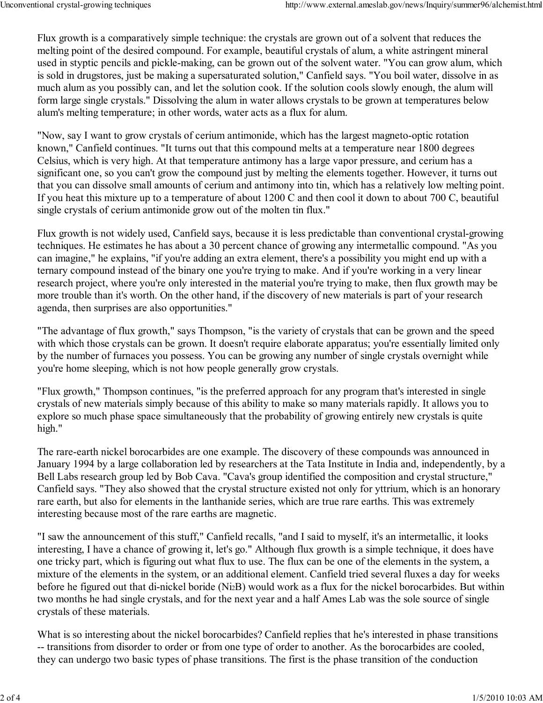Flux growth is a comparatively simple technique: the crystals are grown out of a solvent that reduces the melting point of the desired compound. For example, beautiful crystals of alum, a white astringent mineral used in styptic pencils and pickle-making, can be grown out of the solvent water. "You can grow alum, which is sold in drugstores, just be making a supersaturated solution," Canfield says. "You boil water, dissolve in as much alum as you possibly can, and let the solution cook. If the solution cools slowly enough, the alum will form large single crystals." Dissolving the alum in water allows crystals to be grown at temperatures below alum's melting temperature; in other words, water acts as a flux for alum.

"Now, say I want to grow crystals of cerium antimonide, which has the largest magneto-optic rotation known," Canfield continues. "It turns out that this compound melts at a temperature near 1800 degrees Celsius, which is very high. At that temperature antimony has a large vapor pressure, and cerium has a significant one, so you can't grow the compound just by melting the elements together. However, it turns out that you can dissolve small amounts of cerium and antimony into tin, which has a relatively low melting point. If you heat this mixture up to a temperature of about 1200 C and then cool it down to about 700 C, beautiful single crystals of cerium antimonide grow out of the molten tin flux."

Flux growth is not widely used, Canfield says, because it is less predictable than conventional crystal-growing techniques. He estimates he has about a 30 percent chance of growing any intermetallic compound. "As you can imagine," he explains, "if you're adding an extra element, there's a possibility you might end up with a ternary compound instead of the binary one you're trying to make. And if you're working in a very linear research project, where you're only interested in the material you're trying to make, then flux growth may be more trouble than it's worth. On the other hand, if the discovery of new materials is part of your research agenda, then surprises are also opportunities."

"The advantage of flux growth," says Thompson, "is the variety of crystals that can be grown and the speed with which those crystals can be grown. It doesn't require elaborate apparatus; you're essentially limited only by the number of furnaces you possess. You can be growing any number of single crystals overnight while you're home sleeping, which is not how people generally grow crystals.

"Flux growth," Thompson continues, "is the preferred approach for any program that's interested in single crystals of new materials simply because of this ability to make so many materials rapidly. It allows you to explore so much phase space simultaneously that the probability of growing entirely new crystals is quite high."

The rare-earth nickel borocarbides are one example. The discovery of these compounds was announced in January 1994 by a large collaboration led by researchers at the Tata Institute in India and, independently, by a Bell Labs research group led by Bob Cava. "Cava's group identified the composition and crystal structure," Canfield says. "They also showed that the crystal structure existed not only for yttrium, which is an honorary rare earth, but also for elements in the lanthanide series, which are true rare earths. This was extremely interesting because most of the rare earths are magnetic.

"I saw the announcement of this stuff," Canfield recalls, "and I said to myself, it's an intermetallic, it looks interesting, I have a chance of growing it, let's go." Although flux growth is a simple technique, it does have one tricky part, which is figuring out what flux to use. The flux can be one of the elements in the system, a mixture of the elements in the system, or an additional element. Canfield tried several fluxes a day for weeks before he figured out that di-nickel boride (Ni2B) would work as a flux for the nickel borocarbides. But within two months he had single crystals, and for the next year and a half Ames Lab was the sole source of single crystals of these materials.

What is so interesting about the nickel borocarbides? Canfield replies that he's interested in phase transitions -- transitions from disorder to order or from one type of order to another. As the borocarbides are cooled, they can undergo two basic types of phase transitions. The first is the phase transition of the conduction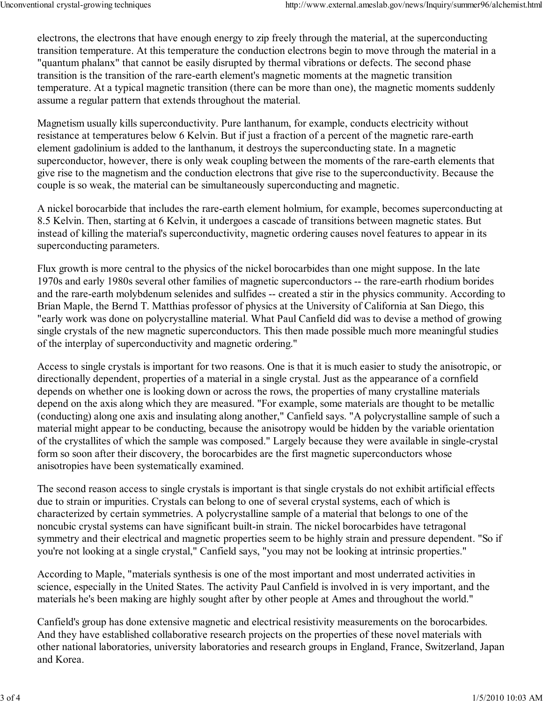electrons, the electrons that have enough energy to zip freely through the material, at the superconducting transition temperature. At this temperature the conduction electrons begin to move through the material in a "quantum phalanx" that cannot be easily disrupted by thermal vibrations or defects. The second phase transition is the transition of the rare-earth element's magnetic moments at the magnetic transition temperature. At a typical magnetic transition (there can be more than one), the magnetic moments suddenly assume a regular pattern that extends throughout the material.

Magnetism usually kills superconductivity. Pure lanthanum, for example, conducts electricity without resistance at temperatures below 6 Kelvin. But if just a fraction of a percent of the magnetic rare-earth element gadolinium is added to the lanthanum, it destroys the superconducting state. In a magnetic superconductor, however, there is only weak coupling between the moments of the rare-earth elements that give rise to the magnetism and the conduction electrons that give rise to the superconductivity. Because the couple is so weak, the material can be simultaneously superconducting and magnetic.

A nickel borocarbide that includes the rare-earth element holmium, for example, becomes superconducting at 8.5 Kelvin. Then, starting at 6 Kelvin, it undergoes a cascade of transitions between magnetic states. But instead of killing the material's superconductivity, magnetic ordering causes novel features to appear in its superconducting parameters.

Flux growth is more central to the physics of the nickel borocarbides than one might suppose. In the late 1970s and early 1980s several other families of magnetic superconductors -- the rare-earth rhodium borides and the rare-earth molybdenum selenides and sulfides -- created a stir in the physics community. According to Brian Maple, the Bernd T. Matthias professor of physics at the University of California at San Diego, this "early work was done on polycrystalline material. What Paul Canfield did was to devise a method of growing single crystals of the new magnetic superconductors. This then made possible much more meaningful studies of the interplay of superconductivity and magnetic ordering."

Access to single crystals is important for two reasons. One is that it is much easier to study the anisotropic, or directionally dependent, properties of a material in a single crystal. Just as the appearance of a cornfield depends on whether one is looking down or across the rows, the properties of many crystalline materials depend on the axis along which they are measured. "For example, some materials are thought to be metallic (conducting) along one axis and insulating along another," Canfield says. "A polycrystalline sample of such a material might appear to be conducting, because the anisotropy would be hidden by the variable orientation of the crystallites of which the sample was composed." Largely because they were available in single-crystal form so soon after their discovery, the borocarbides are the first magnetic superconductors whose anisotropies have been systematically examined.

The second reason access to single crystals is important is that single crystals do not exhibit artificial effects due to strain or impurities. Crystals can belong to one of several crystal systems, each of which is characterized by certain symmetries. A polycrystalline sample of a material that belongs to one of the noncubic crystal systems can have significant built-in strain. The nickel borocarbides have tetragonal symmetry and their electrical and magnetic properties seem to be highly strain and pressure dependent. "So if you're not looking at a single crystal," Canfield says, "you may not be looking at intrinsic properties."

According to Maple, "materials synthesis is one of the most important and most underrated activities in science, especially in the United States. The activity Paul Canfield is involved in is very important, and the materials he's been making are highly sought after by other people at Ames and throughout the world."

Canfield's group has done extensive magnetic and electrical resistivity measurements on the borocarbides. And they have established collaborative research projects on the properties of these novel materials with other national laboratories, university laboratories and research groups in England, France, Switzerland, Japan and Korea.